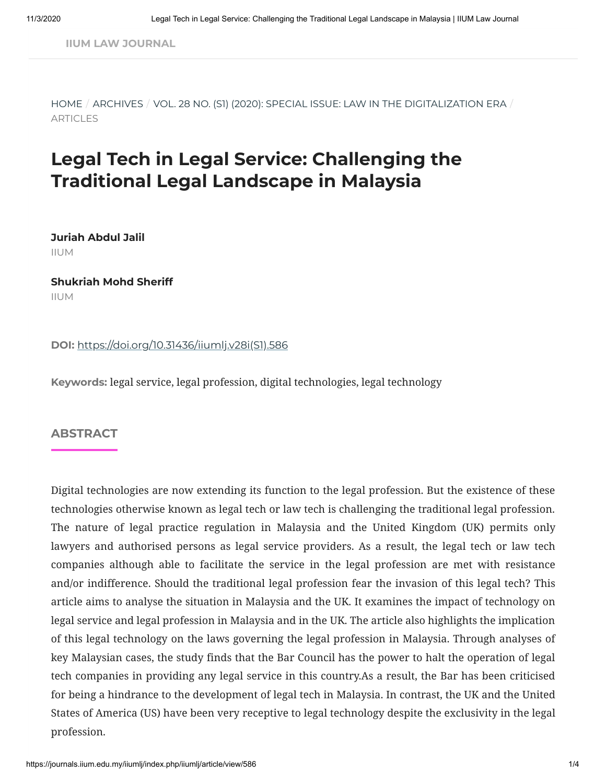**IIUM LAW [JOURNAL](https://journals.iium.edu.my/iiumlj/index.php/iiumlj/index)**

[HOME](https://journals.iium.edu.my/iiumlj/index.php/iiumlj/index) / [ARCHIVES](https://journals.iium.edu.my/iiumlj/index.php/iiumlj/issue/archive) / VOL. 28 NO. (S1) (2020): SPECIAL ISSUE: LAW IN THE [DIGITALIZATION ERA](https://journals.iium.edu.my/iiumlj/index.php/iiumlj/issue/view/44) / ARTICLES

# **Legal Tech in Legal Service: Challenging the Traditional Legal Landscape in Malaysia**

**Juriah Abdul Jalil** IIUM

**Shukriah Mohd Sheriff** IIUM

**DOI:** [https://doi.org/10.31436/iiumlj.v28i\(S1\).586](https://doi.org/10.31436/iiumlj.v28i(S1).586)

**Keywords:** legal service, legal profession, digital technologies, legal technology

#### **ABSTRACT**

Digital technologies are now extending its function to the legal profession. But the existence of these technologies otherwise known as legal tech or law tech is challenging the traditional legal profession. The nature of legal practice regulation in Malaysia and the United Kingdom (UK) permits only lawyers and authorised persons as legal service providers. As a result, the legal tech or law tech companies although able to facilitate the service in the legal profession are met with resistance and/or indifference. Should the traditional legal profession fear the invasion of this legal tech? This article aims to analyse the situation in Malaysia and the UK. It examines the impact of technology on legal service and legal profession in Malaysia and in the UK. The article also highlights the implication of this legal technology on the laws governing the legal profession in Malaysia. Through analyses of key Malaysian cases, the study finds that the Bar Council has the power to halt the operation of legal tech companies in providing any legal service in this country.As a result, the Bar has been criticised for being a hindrance to the development of legal tech in Malaysia. In contrast, the UK and the United States of America (US) have been very receptive to legal technology despite the exclusivity in the legal profession.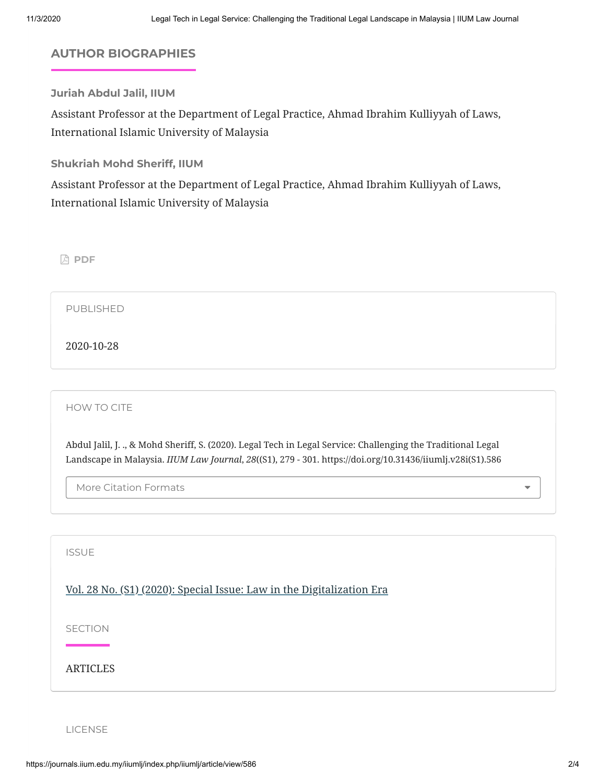# **AUTHOR BIOGRAPHIES**

**Juriah Abdul Jalil, IIUM**

Assistant Professor at the Department of Legal Practice, Ahmad Ibrahim Kulliyyah of Laws, International Islamic University of Malaysia

**Shukriah Mohd Sheriff, IIUM**

Assistant Professor at the Department of Legal Practice, Ahmad Ibrahim Kulliyyah of Laws, International Islamic University of Malaysia

**[PDF](https://journals.iium.edu.my/iiumlj/index.php/iiumlj/article/view/586/273)**

PUBLISHED

2020-10-28

HOW TO CITE

Abdul Jalil, J. ., & Mohd Sheriff, S. (2020). Legal Tech in Legal Service: Challenging the Traditional Legal Landscape in Malaysia. *IIUM Law Journal*, *28*((S1), 279 - 301. https://doi.org/10.31436/iiumlj.v28i(S1).586

More Citation Formats

ISSUE

[Vol. 28 No. \(S1\) \(2020\): Special Issue: Law in the Digitalization Era](https://journals.iium.edu.my/iiumlj/index.php/iiumlj/issue/view/44)

SECTION

ARTICLES

LICENSE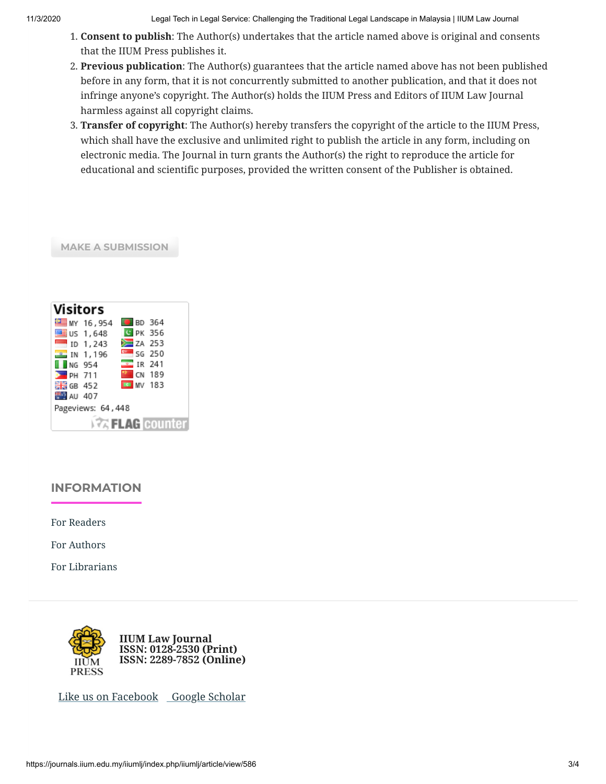11/3/2020 Legal Tech in Legal Service: Challenging the Traditional Legal Landscape in Malaysia | IIUM Law Journal

- 1. **Consent to publish**: The Author(s) undertakes that the article named above is original and consents that the IIUM Press publishes it.
- 2. **Previous publication**: The Author(s) guarantees that the article named above has not been published before in any form, that it is not concurrently submitted to another publication, and that it does not infringe anyone's copyright. The Author(s) holds the IIUM Press and Editors of IIUM Law Journal harmless against all copyright claims.
- 3. **Transfer of copyright**: The Author(s) hereby transfers the copyright of the article to the IIUM Press, which shall have the exclusive and unlimited right to publish the article in any form, including on electronic media. The Journal in turn grants the Author(s) the right to reproduce the article for educational and scientific purposes, provided the written consent of the Publisher is obtained.

#### **MAKE A [SUBMISSION](https://journals.iium.edu.my/iiumlj/index.php/iiumlj/about/submissions)**

| Visitors                |  |                      |  |
|-------------------------|--|----------------------|--|
| <b>EMY 16,954</b>       |  | <b>BD</b> 364        |  |
| US 1,648                |  | <b>G</b> PK 356      |  |
| $\Box$ ID 1.243         |  | <b>EXA 253</b>       |  |
| $\frac{2}{1}$ IN 1,196  |  | $s = 56250$          |  |
| $\blacksquare$ NG 954   |  | $\frac{1}{2}$ IR 241 |  |
| $PH$ 711                |  | <b>March 189</b>     |  |
| ₩₩ GB 452               |  | <b>ED</b> MV 183     |  |
| AU 407                  |  |                      |  |
| Pageviews: 64,448       |  |                      |  |
| $\sqrt{2}$ FLAG counter |  |                      |  |

## **INFORMATION**

[For Readers](https://journals.iium.edu.my/iiumlj/index.php/iiumlj/information/readers)

[For Authors](https://journals.iium.edu.my/iiumlj/index.php/iiumlj/information/authors)

[For Librarians](https://journals.iium.edu.my/iiumlj/index.php/iiumlj/information/librarians)



[Like us on Facebook](https://journals.iium.edu.my/iiumlj/index.php/iiumlj/management/settings/https;/www.facebook.com/iiumlawj)  [Google Scholar](http://www.myjurnal.my/public/browse-journal-view.php?id=369)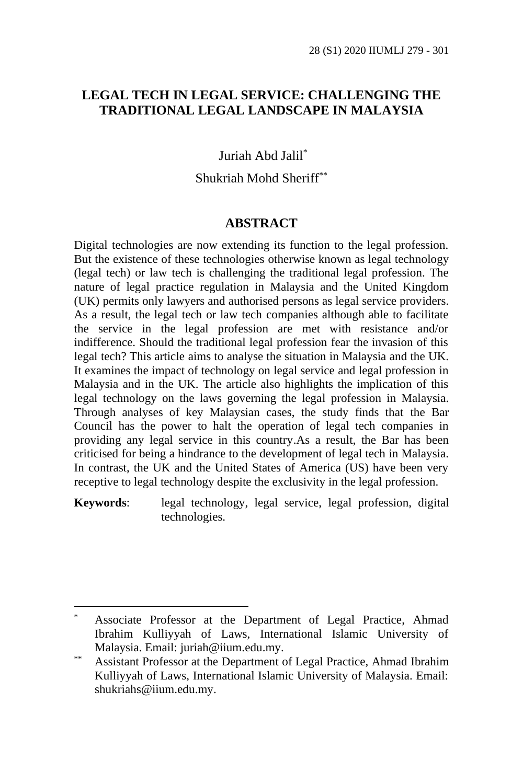#### **LEGAL TECH IN LEGAL SERVICE: CHALLENGING THE TRADITIONAL LEGAL LANDSCAPE IN MALAYSIA**

Juriah Abd Jalil\*

Shukriah Mohd Sheriff\*\*

#### **ABSTRACT**

Digital technologies are now extending its function to the legal profession. But the existence of these technologies otherwise known as legal technology (legal tech) or law tech is challenging the traditional legal profession. The nature of legal practice regulation in Malaysia and the United Kingdom (UK) permits only lawyers and authorised persons as legal service providers. As a result, the legal tech or law tech companies although able to facilitate the service in the legal profession are met with resistance and/or indifference. Should the traditional legal profession fear the invasion of this legal tech? This article aims to analyse the situation in Malaysia and the UK. It examines the impact of technology on legal service and legal profession in Malaysia and in the UK. The article also highlights the implication of this legal technology on the laws governing the legal profession in Malaysia. Through analyses of key Malaysian cases, the study finds that the Bar Council has the power to halt the operation of legal tech companies in providing any legal service in this country.As a result, the Bar has been criticised for being a hindrance to the development of legal tech in Malaysia. In contrast, the UK and the United States of America (US) have been very receptive to legal technology despite the exclusivity in the legal profession.

**Keywords**: legal technology, legal service, legal profession, digital technologies.

Associate Professor at the Department of Legal Practice, Ahmad Ibrahim Kulliyyah of Laws, International Islamic University of Malaysia. Email: juriah@iium.edu.my.

<sup>\*\*</sup> Assistant Professor at the Department of Legal Practice, Ahmad Ibrahim Kulliyyah of Laws, International Islamic University of Malaysia. Email: shukriahs@iium.edu.my.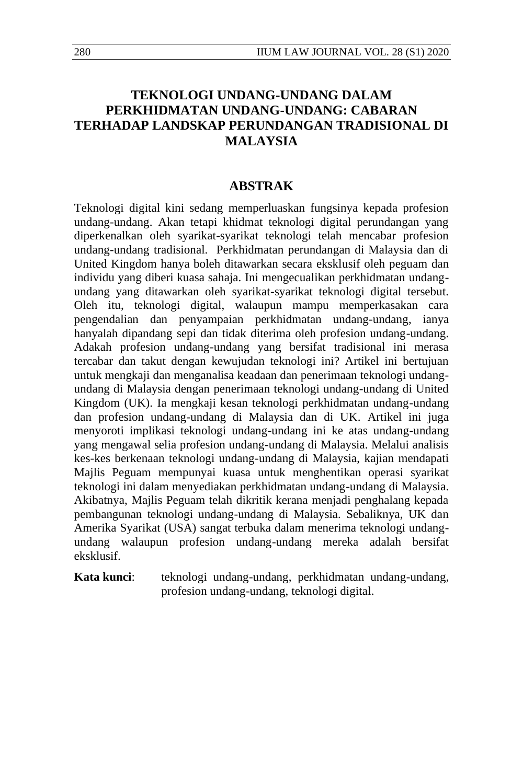#### **TEKNOLOGI UNDANG-UNDANG DALAM PERKHIDMATAN UNDANG-UNDANG: CABARAN TERHADAP LANDSKAP PERUNDANGAN TRADISIONAL DI MALAYSIA**

#### **ABSTRAK**

Teknologi digital kini sedang memperluaskan fungsinya kepada profesion undang-undang. Akan tetapi khidmat teknologi digital perundangan yang diperkenalkan oleh syarikat-syarikat teknologi telah mencabar profesion undang-undang tradisional. Perkhidmatan perundangan di Malaysia dan di United Kingdom hanya boleh ditawarkan secara eksklusif oleh peguam dan individu yang diberi kuasa sahaja. Ini mengecualikan perkhidmatan undangundang yang ditawarkan oleh syarikat-syarikat teknologi digital tersebut. Oleh itu, teknologi digital, walaupun mampu memperkasakan cara pengendalian dan penyampaian perkhidmatan undang-undang, ianya hanyalah dipandang sepi dan tidak diterima oleh profesion undang-undang. Adakah profesion undang-undang yang bersifat tradisional ini merasa tercabar dan takut dengan kewujudan teknologi ini? Artikel ini bertujuan untuk mengkaji dan menganalisa keadaan dan penerimaan teknologi undangundang di Malaysia dengan penerimaan teknologi undang-undang di United Kingdom (UK). Ia mengkaji kesan teknologi perkhidmatan undang-undang dan profesion undang-undang di Malaysia dan di UK. Artikel ini juga menyoroti implikasi teknologi undang-undang ini ke atas undang-undang yang mengawal selia profesion undang-undang di Malaysia. Melalui analisis kes-kes berkenaan teknologi undang-undang di Malaysia, kajian mendapati Majlis Peguam mempunyai kuasa untuk menghentikan operasi syarikat teknologi ini dalam menyediakan perkhidmatan undang-undang di Malaysia. Akibatnya, Majlis Peguam telah dikritik kerana menjadi penghalang kepada pembangunan teknologi undang-undang di Malaysia. Sebaliknya, UK dan Amerika Syarikat (USA) sangat terbuka dalam menerima teknologi undangundang walaupun profesion undang-undang mereka adalah bersifat eksklusif.

**Kata kunci**: teknologi undang-undang, perkhidmatan undang-undang, profesion undang-undang, teknologi digital.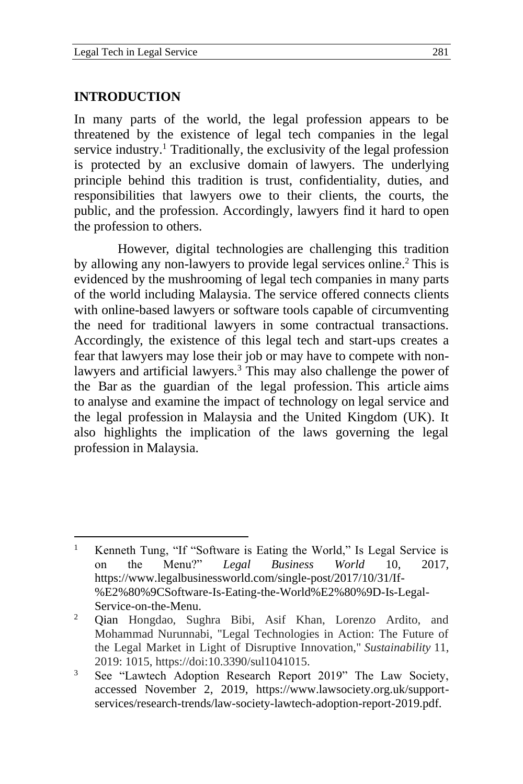#### **INTRODUCTION**

In many parts of the world, the legal profession appears to be threatened by the existence of legal tech companies in the legal service industry.<sup>1</sup> Traditionally, the exclusivity of the legal profession is protected by an exclusive domain of lawyers. The underlying principle behind this tradition is trust, confidentiality, duties, and responsibilities that lawyers owe to their clients, the courts, the public, and the profession. Accordingly, lawyers find it hard to open the profession to others.

However, digital technologies are challenging this tradition by allowing any non-lawyers to provide legal services online.<sup>2</sup> This is evidenced by the mushrooming of legal tech companies in many parts of the world including Malaysia. The service offered connects clients with online-based lawyers or software tools capable of circumventing the need for traditional lawyers in some contractual transactions. Accordingly, the existence of this legal tech and start-ups creates a fear that lawyers may lose their job or may have to compete with nonlawyers and artificial lawyers.<sup>3</sup> This may also challenge the power of the Bar as the guardian of the legal profession. This article aims to analyse and examine the impact of technology on legal service and the legal profession in Malaysia and the United Kingdom (UK). It also highlights the implication of the laws governing the legal profession in Malaysia.

<sup>&</sup>lt;sup>1</sup> Kenneth Tung, "If "Software is Eating the World," Is Legal Service is on the Menu?" *Legal Business World* 10, 2017, https://www.legalbusinessworld.com/single-post/2017/10/31/If- %E2%80%9CSoftware-Is-Eating-the-World%E2%80%9D-Is-Legal-Service-on-the-Menu.

<sup>2</sup> Qian Hongdao, Sughra Bibi, Asif Khan, Lorenzo Ardito, and Mohammad Nurunnabi, "Legal Technologies in Action: The Future of the Legal Market in Light of Disruptive Innovation," *Sustainability* 11, 2019: 1015, https://doi:10.3390/sul1041015.

<sup>&</sup>lt;sup>3</sup> See "Lawtech Adoption Research Report 2019" The Law Society, accessed November 2, 2019, https://www.lawsociety.org.uk/supportservices/research-trends/law-society-lawtech-adoption-report-2019.pdf.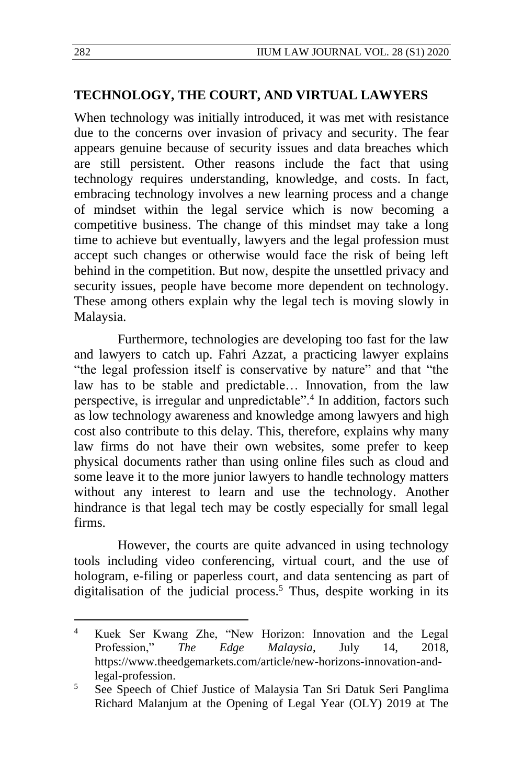#### **TECHNOLOGY, THE COURT, AND VIRTUAL LAWYERS**

When technology was initially introduced, it was met with resistance due to the concerns over invasion of privacy and security. The fear appears genuine because of security issues and data breaches which are still persistent. Other reasons include the fact that using technology requires understanding, knowledge, and costs. In fact, embracing technology involves a new learning process and a change of mindset within the legal service which is now becoming a competitive business. The change of this mindset may take a long time to achieve but eventually, lawyers and the legal profession must accept such changes or otherwise would face the risk of being left behind in the competition. But now, despite the unsettled privacy and security issues, people have become more dependent on technology. These among others explain why the legal tech is moving slowly in Malaysia.

Furthermore, technologies are developing too fast for the law and lawyers to catch up. Fahri Azzat, a practicing lawyer explains "the legal profession itself is conservative by nature" and that "the law has to be stable and predictable… Innovation, from the law perspective, is irregular and unpredictable".<sup>4</sup> In addition, factors such as low technology awareness and knowledge among lawyers and high cost also contribute to this delay. This, therefore, explains why many law firms do not have their own websites, some prefer to keep physical documents rather than using online files such as cloud and some leave it to the more junior lawyers to handle technology matters without any interest to learn and use the technology. Another hindrance is that legal tech may be costly especially for small legal firms.

However, the courts are quite advanced in using technology tools including video conferencing, virtual court, and the use of hologram, e-filing or paperless court, and data sentencing as part of digitalisation of the judicial process.<sup>5</sup> Thus, despite working in its

<sup>4</sup> Kuek Ser Kwang Zhe, "New Horizon: Innovation and the Legal Profession," *The Edge Malaysia*, July 14, 2018, https://www.theedgemarkets.com/article/new-horizons-innovation-andlegal-profession.

<sup>5</sup> See Speech of Chief Justice of Malaysia Tan Sri Datuk Seri Panglima Richard Malanjum at the Opening of Legal Year (OLY) 2019 at The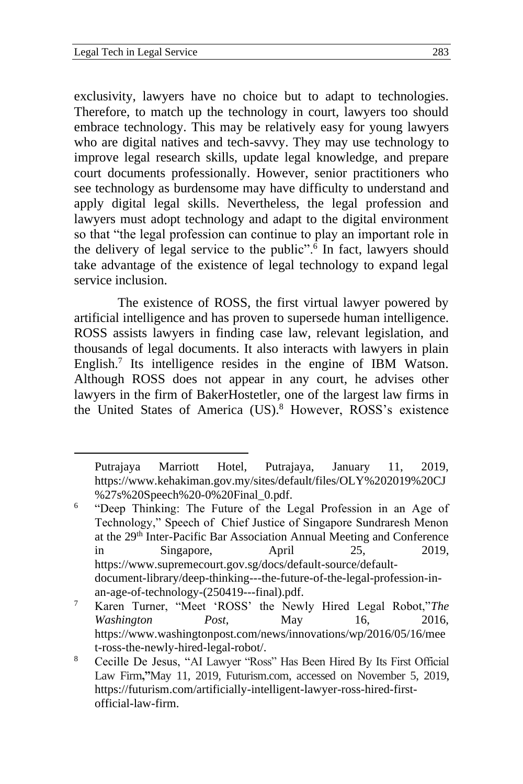exclusivity, lawyers have no choice but to adapt to technologies. Therefore, to match up the technology in court, lawyers too should embrace technology. This may be relatively easy for young lawyers who are digital natives and tech-savvy. They may use technology to improve legal research skills, update legal knowledge, and prepare court documents professionally. However, senior practitioners who see technology as burdensome may have difficulty to understand and apply digital legal skills. Nevertheless, the legal profession and lawyers must adopt technology and adapt to the digital environment so that "the legal profession can continue to play an important role in the delivery of legal service to the public".<sup>6</sup> In fact, lawyers should take advantage of the existence of legal technology to expand legal service inclusion.

The existence of ROSS, the first virtual lawyer powered by artificial intelligence and has proven to supersede human intelligence. ROSS assists lawyers in finding case law, relevant legislation, and thousands of legal documents. It also interacts with lawyers in plain English.<sup>7</sup> Its intelligence resides in the engine of IBM Watson. Although ROSS does not appear in any court, he advises other lawyers in the firm of BakerHostetler, one of the largest law firms in the United States of America (US).<sup>8</sup> However, ROSS's existence

Putrajaya Marriott Hotel, Putrajaya, January 11, 2019, https://www.kehakiman.gov.my/sites/default/files/OLY%202019%20CJ %27s%20Speech%20-0%20Final\_0.pdf.

<sup>6</sup> "Deep Thinking: The Future of the Legal Profession in an Age of Technology," Speech of Chief Justice of Singapore Sundraresh Menon at the 29th Inter-Pacific Bar Association Annual Meeting and Conference in Singapore, April 25, 2019, [https://www.supremecourt.gov.sg/docs/default-source/default](https://www.supremecourt.gov.sg/docs/default-source/default-document-library/deep-thinking---the-future-of-the-legal-profession-in-an-age-of-technology-(250419---final).pdf)[document-library/deep-thinking---the-future-of-the-legal-profession-in](https://www.supremecourt.gov.sg/docs/default-source/default-document-library/deep-thinking---the-future-of-the-legal-profession-in-an-age-of-technology-(250419---final).pdf)[an-age-of-technology-\(250419---final\).pdf.](https://www.supremecourt.gov.sg/docs/default-source/default-document-library/deep-thinking---the-future-of-the-legal-profession-in-an-age-of-technology-(250419---final).pdf)

<sup>7</sup> Karen Turner, "Meet 'ROSS' the Newly Hired Legal Robot,"*The Washington Post*, May 16, 2016, [https://www.washingtonpost.com/news/innovations/wp/2016/05/16/mee](https://www.washingtonpost.com/news/innovations/wp/2016/05/16/meet-ross-the-newly-hired-legal-robot/) [t-ross-the-newly-hired-legal-robot/.](https://www.washingtonpost.com/news/innovations/wp/2016/05/16/meet-ross-the-newly-hired-legal-robot/)

<sup>8</sup> Cecille De Jesus, "AI Lawyer "Ross" Has Been Hired By Its First Official Law Firm**,"**May 11, 2019, Futurism.com, accessed on November 5, 2019, [https://futurism.com/artificially-intelligent-lawyer-ross-hired-first](https://futurism.com/artificially-intelligent-lawyer-ross-hired-first-official-law-firm)[official-law-firm.](https://futurism.com/artificially-intelligent-lawyer-ross-hired-first-official-law-firm)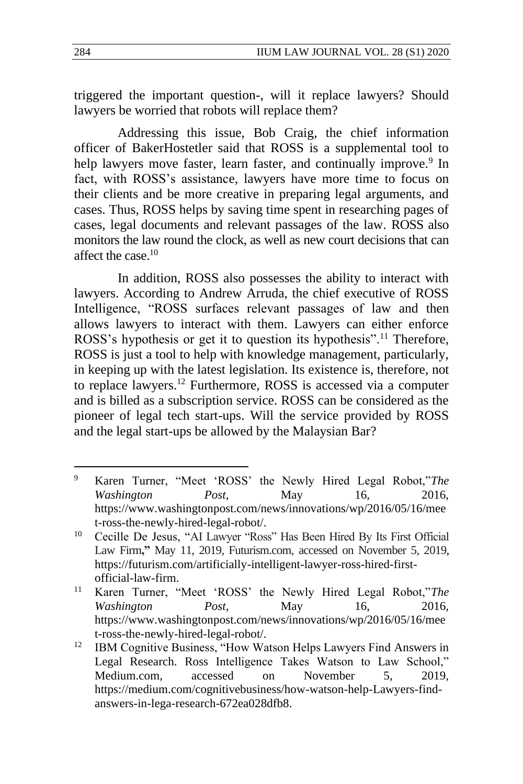triggered the important question-, will it replace lawyers? Should lawyers be worried that robots will replace them?

Addressing this issue, Bob Craig, the chief information officer of BakerHostetler said that ROSS is a supplemental tool to help lawyers move faster, learn faster, and continually improve.<sup>9</sup> In fact, with ROSS's assistance, lawyers have more time to focus on their clients and be more creative in preparing legal arguments, and cases. Thus, ROSS helps by saving time spent in researching pages of cases, legal documents and relevant passages of the law. ROSS also monitors the law round the clock, as well as new court decisions that can affect the case.<sup>10</sup>

In addition, ROSS also possesses the ability to interact with lawyers. According to Andrew Arruda, the chief executive of ROSS Intelligence, "ROSS surfaces relevant passages of law and then allows lawyers to interact with them. Lawyers can either enforce ROSS's hypothesis or get it to question its hypothesis".<sup>11</sup> Therefore, ROSS is just a tool to help with knowledge management, particularly, in keeping up with the latest legislation. Its existence is, therefore, not to replace lawyers.<sup>12</sup> Furthermore, ROSS is accessed via a computer and is billed as a subscription service. ROSS can be considered as the pioneer of legal tech start-ups. Will the service provided by ROSS and the legal start-ups be allowed by the Malaysian Bar?

<sup>9</sup> Karen Turner, "Meet 'ROSS' the Newly Hired Legal Robot,"*The Washington Post*, May 16, 2016, [https://www.washingtonpost.com/news/innovations/wp/2016/05/16/mee](https://www.washingtonpost.com/news/innovations/wp/2016/05/16/meet-ross-the-newly-hired-legal-robot/) [t-ross-the-newly-hired-legal-robot/.](https://www.washingtonpost.com/news/innovations/wp/2016/05/16/meet-ross-the-newly-hired-legal-robot/)

<sup>10</sup> Cecille De Jesus, "AI Lawyer "Ross" Has Been Hired By Its First Official Law Firm**,"** May 11, 2019, Futurism.com, accessed on November 5, 2019, [https://futurism.com/artificially-intelligent-lawyer-ross-hired-first](https://futurism.com/artificially-intelligent-lawyer-ross-hired-first-official-law-firm)[official-law-firm.](https://futurism.com/artificially-intelligent-lawyer-ross-hired-first-official-law-firm)

<sup>11</sup> Karen Turner, "Meet 'ROSS' the Newly Hired Legal Robot,"*The Washington Post*, May 16, 2016, [https://www.washingtonpost.com/news/innovations/wp/2016/05/16/mee](https://www.washingtonpost.com/news/innovations/wp/2016/05/16/meet-ross-the-newly-hired-legal-robot/) [t-ross-the-newly-hired-legal-robot/.](https://www.washingtonpost.com/news/innovations/wp/2016/05/16/meet-ross-the-newly-hired-legal-robot/)

<sup>&</sup>lt;sup>12</sup> IBM Cognitive Business, "How Watson Helps Lawyers Find Answers in Legal Research. Ross Intelligence Takes Watson to Law School," Medium.com, accessed on November 5, 2019, https://medium.com/cognitivebusiness/how-watson-help-Lawyers-findanswers-in-lega-research-672ea028dfb8.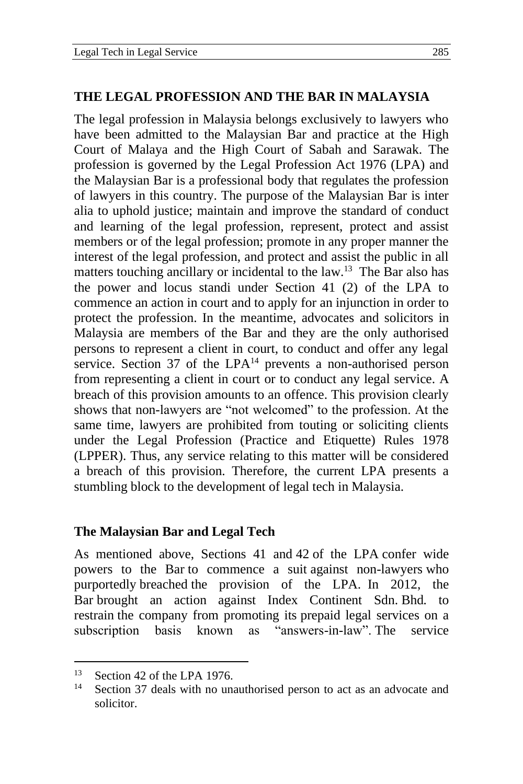#### **THE LEGAL PROFESSION AND THE BAR IN MALAYSIA**

The legal profession in Malaysia belongs exclusively to lawyers who have been admitted to the Malaysian Bar and practice at the High Court of Malaya and the High Court of Sabah and Sarawak. The profession is governed by the Legal Profession Act 1976 (LPA) and the Malaysian Bar is a professional body that regulates the profession of lawyers in this country. The purpose of the Malaysian Bar is inter alia to uphold justice; maintain and improve the standard of conduct and learning of the legal profession, represent, protect and assist members or of the legal profession; promote in any proper manner the interest of the legal profession, and protect and assist the public in all matters touching ancillary or incidental to the law.<sup>13</sup> The Bar also has the power and locus standi under Section 41 (2) of the LPA to commence an action in court and to apply for an injunction in order to protect the profession. In the meantime, advocates and solicitors in Malaysia are members of the Bar and they are the only authorised persons to represent a client in court, to conduct and offer any legal service. Section 37 of the  $LPA<sup>14</sup>$  prevents a non-authorised person from representing a client in court or to conduct any legal service. A breach of this provision amounts to an offence. This provision clearly shows that non-lawyers are "not welcomed" to the profession. At the same time, lawyers are prohibited from touting or soliciting clients under the Legal Profession (Practice and Etiquette) Rules 1978 (LPPER). Thus, any service relating to this matter will be considered a breach of this provision. Therefore, the current LPA presents a stumbling block to the development of legal tech in Malaysia.

#### **The Malaysian Bar and Legal Tech**

As mentioned above, Sections 41 and 42 of the LPA confer wide powers to the Bar to commence a suit against non-lawyers who purportedly breached the provision of the LPA. In 2012, the Bar brought an action against Index Continent Sdn. Bhd*.* to restrain the company from promoting its prepaid legal services on a subscription basis known as "answers-in-law". The service

<sup>&</sup>lt;sup>13</sup> Section 42 of the LPA 1976.<br> $\frac{14}{14}$  Section 27 deals with no un

Section 37 deals with no unauthorised person to act as an advocate and solicitor.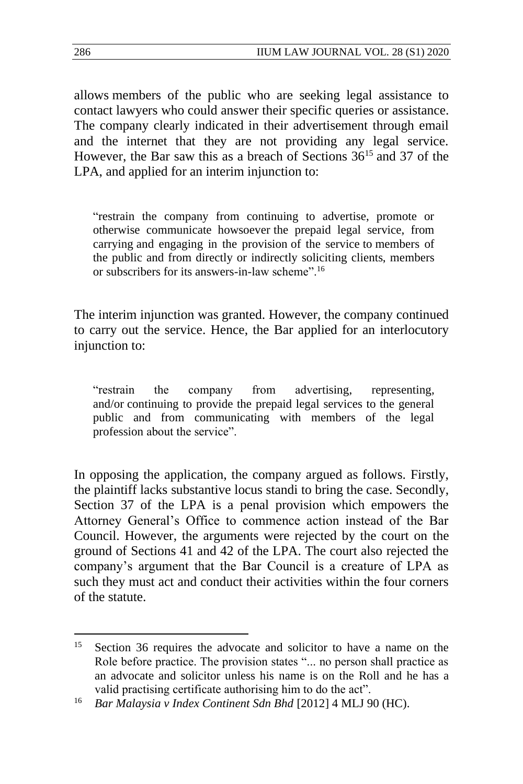allows members of the public who are seeking legal assistance to contact lawyers who could answer their specific queries or assistance. The company clearly indicated in their advertisement through email and the internet that they are not providing any legal service. However, the Bar saw this as a breach of Sections 36<sup>15</sup> and 37 of the LPA, and applied for an interim injunction to:

"restrain the company from continuing to advertise, promote or otherwise communicate howsoever the prepaid legal service, from carrying and engaging in the provision of the service to members of the public and from directly or indirectly soliciting clients, members or subscribers for its answers-in-law scheme".<sup>16</sup>

The interim injunction was granted. However, the company continued to carry out the service. Hence, the Bar applied for an interlocutory injunction to:

"restrain the company from advertising, representing, and/or continuing to provide the prepaid legal services to the general public and from communicating with members of the legal profession about the service".

In opposing the application, the company argued as follows. Firstly, the plaintiff lacks substantive locus standi to bring the case. Secondly, Section 37 of the LPA is a penal provision which empowers the Attorney General's Office to commence action instead of the Bar Council. However, the arguments were rejected by the court on the ground of Sections 41 and 42 of the LPA. The court also rejected the company's argument that the Bar Council is a creature of LPA as such they must act and conduct their activities within the four corners of the statute.

<sup>&</sup>lt;sup>15</sup> Section 36 requires the advocate and solicitor to have a name on the Role before practice. The provision states "... no person shall practice as an advocate and solicitor unless his name is on the Roll and he has a valid practising certificate authorising him to do the act".

<sup>16</sup> *Bar Malaysia v Index Continent Sdn Bhd* [2012] 4 MLJ 90 (HC).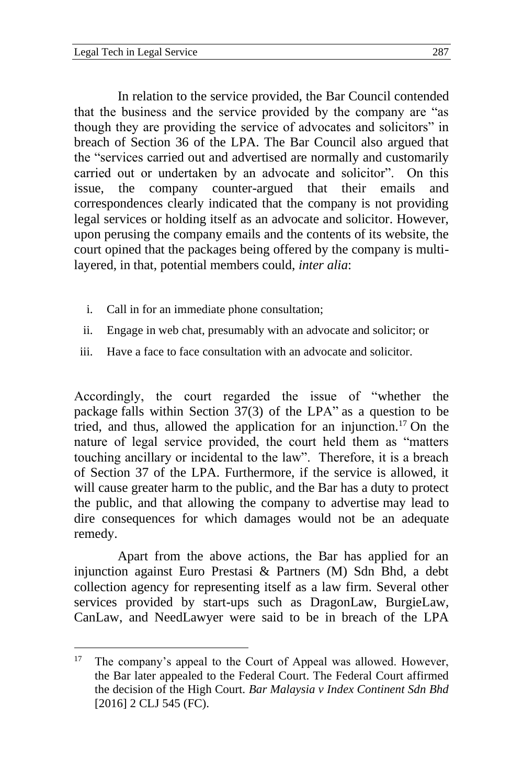In relation to the service provided, the Bar Council contended that the business and the service provided by the company are "as though they are providing the service of advocates and solicitors" in breach of Section 36 of the LPA. The Bar Council also argued that the "services carried out and advertised are normally and customarily carried out or undertaken by an advocate and solicitor". On this issue, the company counter-argued that their emails and correspondences clearly indicated that the company is not providing legal services or holding itself as an advocate and solicitor. However, upon perusing the company emails and the contents of its website, the court opined that the packages being offered by the company is multilayered, in that, potential members could, *inter alia*:

- i. Call in for an immediate phone consultation;
- ii. Engage in web chat, presumably with an advocate and solicitor; or
- iii. Have a face to face consultation with an advocate and solicitor.

Accordingly, the court regarded the issue of "whether the package falls within Section 37(3) of the LPA" as a question to be tried, and thus, allowed the application for an injunction.<sup>17</sup> On the nature of legal service provided, the court held them as "matters touching ancillary or incidental to the law". Therefore, it is a breach of Section 37 of the LPA. Furthermore, if the service is allowed, it will cause greater harm to the public, and the Bar has a duty to protect the public, and that allowing the company to advertise may lead to dire consequences for which damages would not be an adequate remedy.

Apart from the above actions, the Bar has applied for an injunction against Euro Prestasi & Partners (M) Sdn Bhd, a debt collection agency for representing itself as a law firm. Several other services provided by start-ups such as DragonLaw, BurgieLaw, CanLaw, and NeedLawyer were said to be in breach of the LPA

<sup>&</sup>lt;sup>17</sup> The company's appeal to the Court of Appeal was allowed. However, the Bar later appealed to the Federal Court. The Federal Court affirmed the decision of the High Court. *Bar Malaysia v Index Continent Sdn Bhd* [2016] 2 CLJ 545 (FC).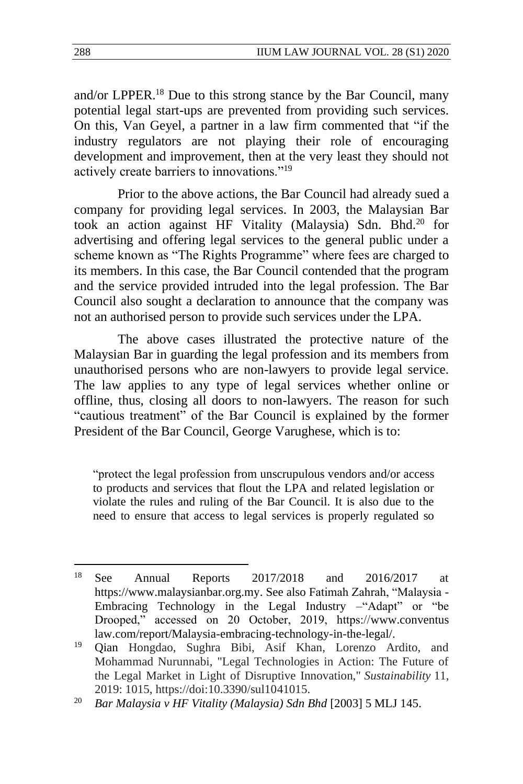and/or LPPER.<sup>18</sup> Due to this strong stance by the Bar Council, many potential legal start-ups are prevented from providing such services. On this, Van Geyel, a partner in a law firm commented that "if the industry regulators are not playing their role of encouraging development and improvement, then at the very least they should not actively create barriers to innovations."<sup>19</sup>

Prior to the above actions, the Bar Council had already sued a company for providing legal services. In 2003, the Malaysian Bar took an action against HF Vitality (Malaysia) Sdn. Bhd.<sup>20</sup> for advertising and offering legal services to the general public under a scheme known as "The Rights Programme" where fees are charged to its members. In this case, the Bar Council contended that the program and the service provided intruded into the legal profession. The Bar Council also sought a declaration to announce that the company was not an authorised person to provide such services under the LPA.

The above cases illustrated the protective nature of the Malaysian Bar in guarding the legal profession and its members from unauthorised persons who are non-lawyers to provide legal service. The law applies to any type of legal services whether online or offline, thus, closing all doors to non-lawyers. The reason for such "cautious treatment" of the Bar Council is explained by the former President of the Bar Council, George Varughese, which is to:

"protect the legal profession from unscrupulous vendors and/or access to products and services that flout the LPA and related legislation or violate the rules and ruling of the Bar Council. It is also due to the need to ensure that access to legal services is properly regulated so

<sup>18</sup> See Annual Reports 2017/2018 and 2016/2017 at [https://www.malaysianbar.org.my.](https://www.malaysianbar.org.my/) See also Fatimah Zahrah, "Malaysia - Embracing Technology in the Legal Industry –"Adapt" or "be Drooped," accessed on 20 October, 2019, https:/[/www.conventus](http://www.conventus/) law.com/report/Malaysia-embracing-technology-in-the-legal/.

<sup>19</sup> Qian Hongdao, Sughra Bibi, Asif Khan, Lorenzo Ardito, and Mohammad Nurunnabi, "Legal Technologies in Action: The Future of the Legal Market in Light of Disruptive Innovation," *Sustainability* 11, 2019: 1015, https://doi:10.3390/sul1041015.

<sup>20</sup> *Bar Malaysia v HF Vitality (Malaysia) Sdn Bhd* [2003] 5 MLJ 145.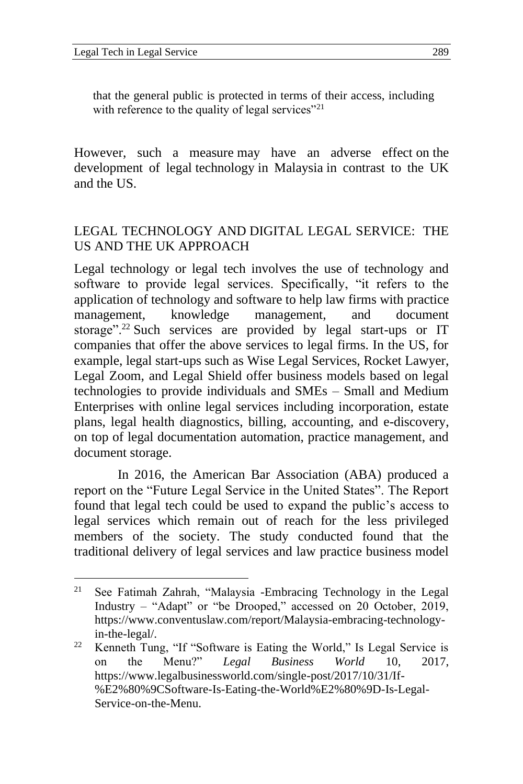that the general public is protected in terms of their access, including with reference to the quality of legal services"<sup>21</sup>

However, such a measure may have an adverse effect on the development of legal technology in Malaysia in contrast to the UK and the US.

#### LEGAL TECHNOLOGY AND DIGITAL LEGAL SERVICE: THE US AND THE UK APPROACH

Legal technology or legal tech involves the use of technology and software to provide legal services. Specifically, "it refers to the application of technology and software to help law firms with practice management, knowledge management, and document storage".<sup>22</sup> Such services are provided by legal start-ups or IT companies that offer the above services to legal firms. In the US, for example, legal start-ups such as Wise Legal Services, Rocket Lawyer, Legal Zoom, and Legal Shield offer business models based on legal technologies to provide individuals and SMEs – Small and Medium Enterprises with online legal services including incorporation, estate plans, legal health diagnostics, billing, accounting, and e-discovery, on top of legal documentation automation, practice management, and document storage.

In 2016, the American Bar Association (ABA) produced a report on the "Future Legal Service in the United States". The Report found that legal tech could be used to expand the public's access to legal services which remain out of reach for the less privileged members of the society. The study conducted found that the traditional delivery of legal services and law practice business model

<sup>21</sup> See Fatimah Zahrah, "Malaysia -Embracing Technology in the Legal Industry – "Adapt" or "be Drooped," accessed on 20 October, 2019, https:/[/www.conventusl](http://www.conventus/)aw.com/report/Malaysia-embracing-technologyin-the-legal/.

<sup>&</sup>lt;sup>22</sup> Kenneth Tung, "If "Software is Eating the World," Is Legal Service is on the Menu?" *Legal Business World* 10, 2017, https://www.legalbusinessworld.com/single-post/2017/10/31/If- %E2%80%9CSoftware-Is-Eating-the-World%E2%80%9D-Is-Legal-Service-on-the-Menu.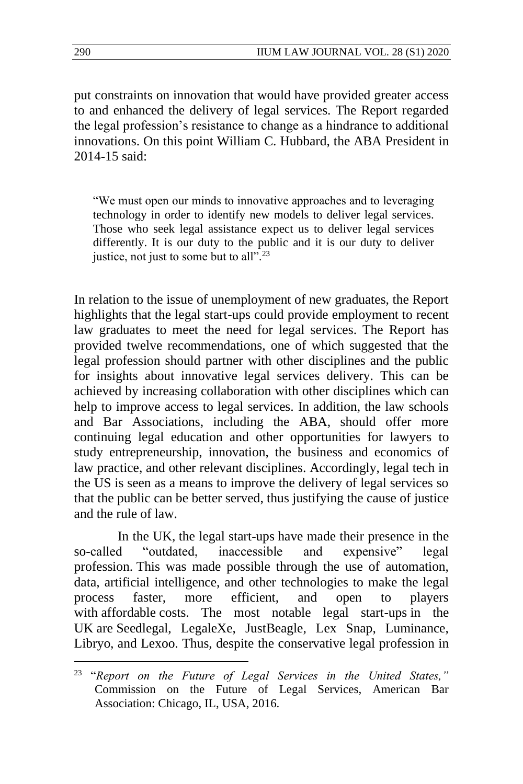put constraints on innovation that would have provided greater access to and enhanced the delivery of legal services. The Report regarded the legal profession's resistance to change as a hindrance to additional innovations. On this point William C. Hubbard, the ABA President in 2014-15 said:

"We must open our minds to innovative approaches and to leveraging technology in order to identify new models to deliver legal services. Those who seek legal assistance expect us to deliver legal services differently. It is our duty to the public and it is our duty to deliver justice, not just to some but to all".<sup>23</sup>

In relation to the issue of unemployment of new graduates, the Report highlights that the legal start-ups could provide employment to recent law graduates to meet the need for legal services. The Report has provided twelve recommendations, one of which suggested that the legal profession should partner with other disciplines and the public for insights about innovative legal services delivery. This can be achieved by increasing collaboration with other disciplines which can help to improve access to legal services. In addition, the law schools and Bar Associations, including the ABA, should offer more continuing legal education and other opportunities for lawyers to study entrepreneurship, innovation, the business and economics of law practice, and other relevant disciplines. Accordingly, legal tech in the US is seen as a means to improve the delivery of legal services so that the public can be better served, thus justifying the cause of justice and the rule of law.

In the UK, the legal start-ups have made their presence in the so-called "outdated, inaccessible and expensive" legal profession. This was made possible through the use of automation, data, artificial intelligence, and other technologies to make the legal process faster, more efficient, and open to players with affordable costs. The most notable legal start-ups in the UK are Seedlegal, LegaleXe, JustBeagle, Lex Snap, Luminance, Libryo, and Lexoo. Thus, despite the conservative legal profession in

<sup>23</sup> "*Report on the Future of Legal Services in the United States,"* Commission on the Future of Legal Services, American Bar Association: Chicago, IL, USA, 2016.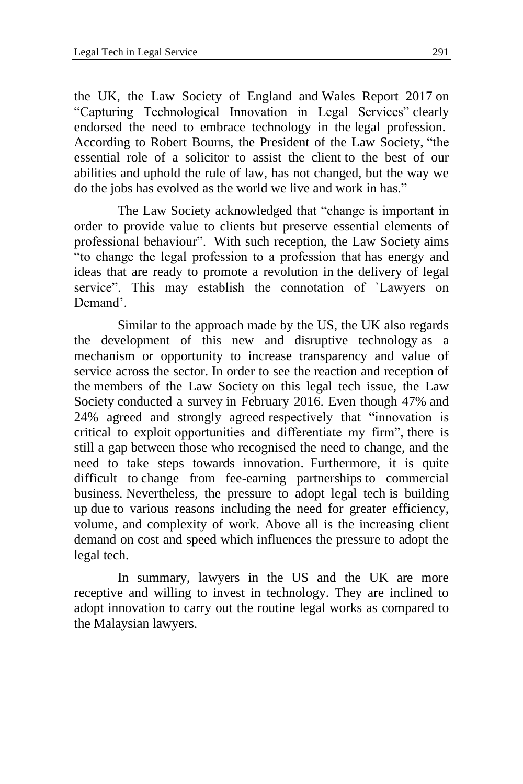the UK, the Law Society of England and Wales Report 2017 on "Capturing Technological Innovation in Legal Services" clearly endorsed the need to embrace technology in the legal profession. According to Robert Bourns, the President of the Law Society, "the essential role of a solicitor to assist the client to the best of our abilities and uphold the rule of law, has not changed, but the way we do the jobs has evolved as the world we live and work in has."

The Law Society acknowledged that "change is important in order to provide value to clients but preserve essential elements of professional behaviour". With such reception, the Law Society aims "to change the legal profession to a profession that has energy and ideas that are ready to promote a revolution in the delivery of legal service". This may establish the connotation of `Lawyers on Demand'.

Similar to the approach made by the US, the UK also regards the development of this new and disruptive technology as a mechanism or opportunity to increase transparency and value of service across the sector. In order to see the reaction and reception of the members of the Law Society on this legal tech issue, the Law Society conducted a survey in February 2016. Even though 47% and 24% agreed and strongly agreed respectively that "innovation is critical to exploit opportunities and differentiate my firm", there is still a gap between those who recognised the need to change, and the need to take steps towards innovation. Furthermore, it is quite difficult to change from fee-earning partnerships to commercial business. Nevertheless, the pressure to adopt legal tech is building up due to various reasons including the need for greater efficiency, volume, and complexity of work. Above all is the increasing client demand on cost and speed which influences the pressure to adopt the legal tech.

In summary, lawyers in the US and the UK are more receptive and willing to invest in technology. They are inclined to adopt innovation to carry out the routine legal works as compared to the Malaysian lawyers.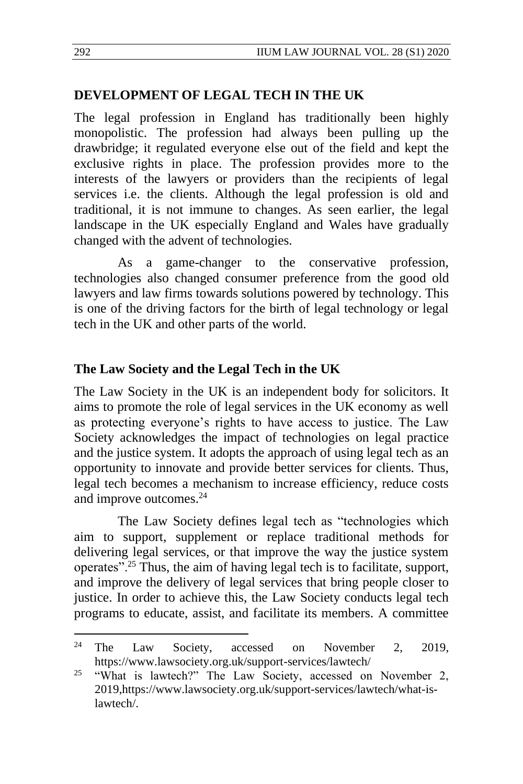#### **DEVELOPMENT OF LEGAL TECH IN THE UK**

The legal profession in England has traditionally been highly monopolistic. The profession had always been pulling up the drawbridge; it regulated everyone else out of the field and kept the exclusive rights in place. The profession provides more to the interests of the lawyers or providers than the recipients of legal services i.e. the clients. Although the legal profession is old and traditional, it is not immune to changes. As seen earlier, the legal landscape in the UK especially England and Wales have gradually changed with the advent of technologies.

As a game-changer to the conservative profession, technologies also changed consumer preference from the good old lawyers and law firms towards solutions powered by technology. This is one of the driving factors for the birth of legal technology or legal tech in the UK and other parts of the world.

#### **The Law Society and the Legal Tech in the UK**

The Law Society in the UK is an independent body for solicitors. It aims to promote the role of legal services in the UK economy as well as protecting everyone's rights to have access to justice. The Law Society acknowledges the impact of technologies on legal practice and the justice system. It adopts the approach of using legal tech as an opportunity to innovate and provide better services for clients. Thus, legal tech becomes a mechanism to increase efficiency, reduce costs and improve outcomes.<sup>24</sup>

The Law Society defines legal tech as "technologies which aim to support, supplement or replace traditional methods for delivering legal services, or that improve the way the justice system operates".<sup>25</sup> Thus, the aim of having legal tech is to facilitate, support, and improve the delivery of legal services that bring people closer to justice. In order to achieve this, the Law Society conducts legal tech programs to educate, assist, and facilitate its members. A committee

 $24$  The Law Society, accessed on November 2, 2019, https://www.lawsociety.org.uk/support-services/lawtech/

<sup>&</sup>lt;sup>25</sup> "What is lawtech?" The Law Society, accessed on November 2, 201[9,https://www.lawsociety.org.uk/support-services/lawtech/what-is](https://www.lawsociety.org.uk/support-services/lawtech/what-is-lawtech/)[lawtech/.](https://www.lawsociety.org.uk/support-services/lawtech/what-is-lawtech/)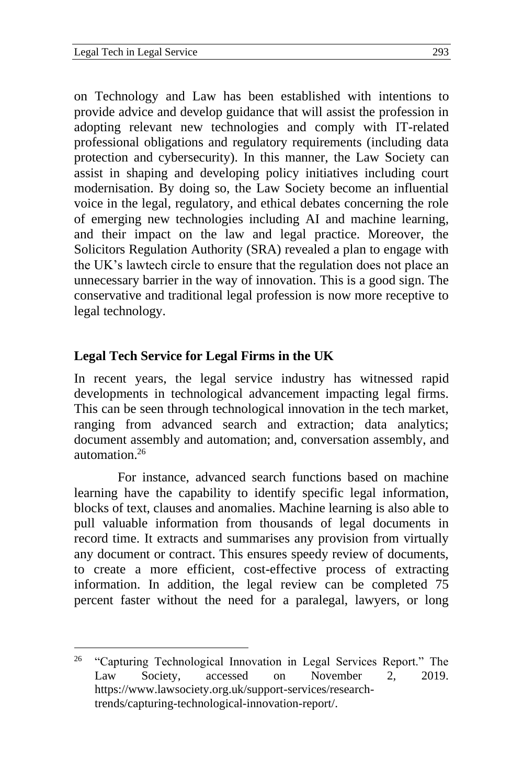on Technology and Law has been established with intentions to provide advice and develop guidance that will assist the profession in adopting relevant new technologies and comply with IT-related professional obligations and regulatory requirements (including data protection and cybersecurity). In this manner, the Law Society can assist in shaping and developing policy initiatives including court modernisation. By doing so, the Law Society become an influential voice in the legal, regulatory, and ethical debates concerning the role of emerging new technologies including AI and machine learning, and their impact on the law and legal practice. Moreover, the Solicitors Regulation Authority (SRA) revealed a plan to engage with the UK's lawtech circle to ensure that the regulation does not place an unnecessary barrier in the way of innovation. This is a good sign. The conservative and traditional legal profession is now more receptive to legal technology.

#### **Legal Tech Service for Legal Firms in the UK**

In recent years, the legal service industry has witnessed rapid developments in technological advancement impacting legal firms. This can be seen through technological innovation in the tech market, ranging from advanced search and extraction; data analytics; document assembly and automation; and, conversation assembly, and automation.<sup>26</sup>

For instance, advanced search functions based on machine learning have the capability to identify specific legal information, blocks of text, clauses and anomalies. Machine learning is also able to pull valuable information from thousands of legal documents in record time. It extracts and summarises any provision from virtually any document or contract. This ensures speedy review of documents, to create a more efficient, cost-effective process of extracting information. In addition, the legal review can be completed 75 percent faster without the need for a paralegal, lawyers, or long

<sup>&</sup>lt;sup>26</sup> "Capturing Technological Innovation in Legal Services Report." The Law Society, accessed on November 2, 2019. [https://www.lawsociety.org.uk/support-services/research](https://www.lawsociety.org.uk/support-services/research-trends/capturing-technological-innovation-report/)[trends/capturing-technological-innovation-report/.](https://www.lawsociety.org.uk/support-services/research-trends/capturing-technological-innovation-report/)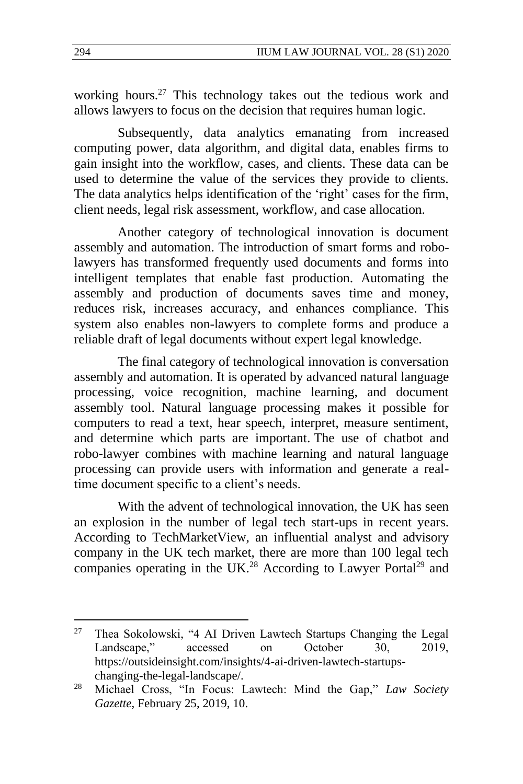working hours.<sup>27</sup> This technology takes out the tedious work and allows lawyers to focus on the decision that requires human logic.

Subsequently, data analytics emanating from increased computing power, data algorithm, and digital data, enables firms to gain insight into the workflow, cases, and clients. These data can be used to determine the value of the services they provide to clients. The data analytics helps identification of the 'right' cases for the firm, client needs, legal risk assessment, workflow, and case allocation.

Another category of technological innovation is document assembly and automation. The introduction of smart forms and robolawyers has transformed frequently used documents and forms into intelligent templates that enable fast production. Automating the assembly and production of documents saves time and money, reduces risk, increases accuracy, and enhances compliance. This system also enables non-lawyers to complete forms and produce a reliable draft of legal documents without expert legal knowledge.

The final category of technological innovation is conversation assembly and automation. It is operated by advanced natural language processing, voice recognition, machine learning, and document assembly tool. Natural language processing makes it possible for computers to read a text, hear speech, interpret, measure sentiment, and determine which parts are important. The use of chatbot and robo-lawyer combines with machine learning and natural language processing can provide users with information and generate a realtime document specific to a client's needs.

With the advent of technological innovation, the UK has seen an explosion in the number of legal tech start-ups in recent years. According to TechMarketView, an influential analyst and advisory company in the UK tech market, there are more than 100 legal tech companies operating in the UK.<sup>28</sup> According to Lawyer Portal<sup>29</sup> and

 $27$  Thea Sokolowski, "4 AI Driven Lawtech Startups Changing the Legal Landscape," accessed on October 30, 2019, [https://outsideinsight.com/insights/4-ai-driven-lawtech-startups](https://outsideinsight.com/insights/4-ai-driven-lawtech-startups-changing-the-legal-landscape/)[changing-the-legal-landscape/.](https://outsideinsight.com/insights/4-ai-driven-lawtech-startups-changing-the-legal-landscape/)

<sup>28</sup> Michael Cross, "In Focus: Lawtech: Mind the Gap," *Law Society Gazette*, February 25, 2019, 10.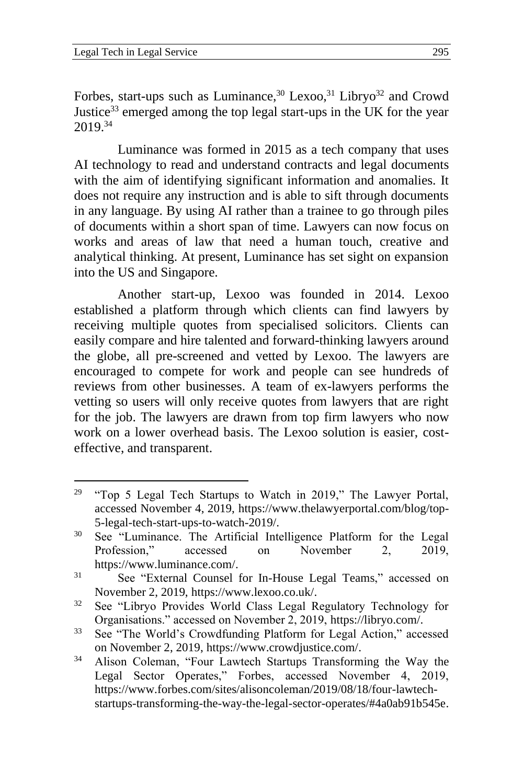Forbes, start-ups such as Luminance,  $30$  Lexoo,  $31$  Libryo<sup>32</sup> and Crowd Justice<sup>33</sup> emerged among the top legal start-ups in the UK for the year 2019.<sup>34</sup>

Luminance was formed in 2015 as a tech company that uses AI technology to read and understand contracts and legal documents with the aim of identifying significant information and anomalies. It does not require any instruction and is able to sift through documents in any language. By using AI rather than a trainee to go through piles of documents within a short span of time. Lawyers can now focus on works and areas of law that need a human touch, creative and analytical thinking. At present, Luminance has set sight on expansion into the US and Singapore.

Another start-up, Lexoo was founded in 2014. Lexoo established a platform through which clients can find lawyers by receiving multiple quotes from specialised solicitors. Clients can easily compare and hire talented and forward-thinking lawyers around the globe, all pre-screened and vetted by Lexoo. The lawyers are encouraged to compete for work and people can see hundreds of reviews from other businesses. A team of ex-lawyers performs the vetting so users will only receive quotes from lawyers that are right for the job. The lawyers are drawn from top firm lawyers who now work on a lower overhead basis. The Lexoo solution is easier, costeffective, and transparent.

<sup>&</sup>lt;sup>29</sup> "Top 5 Legal Tech Startups to Watch in 2019," The Lawyer Portal, accessed November 4, 2019, [https://www.thelawyerportal.com/blog/top-](https://www.thelawyerportal.com/blog/top-5-legal-tech-start-ups-to-watch-2019/)[5-legal-tech-start-ups-to-watch-2019/.](https://www.thelawyerportal.com/blog/top-5-legal-tech-start-ups-to-watch-2019/)

<sup>&</sup>lt;sup>30</sup> See "Luminance. The Artificial Intelligence Platform for the Legal Profession," accessed on November 2, 2019, [https://www.luminance.com/.](https://www.luminance.com/)

<sup>31</sup> See "External Counsel for In-House Legal Teams," accessed on November 2, 2019, [https://www.lexoo.co.uk/.](https://www.lexoo.co.uk/)

<sup>32</sup> See "Libryo Provides World Class Legal Regulatory Technology for Organisations." accessed on November 2, 2019, [https://libryo.com/.](https://libryo.com/)

<sup>33</sup> See "The World's Crowdfunding Platform for Legal Action," accessed on November 2, 2019, [https://www.crowdjustice.com/.](https://www.crowdjustice.com/)

<sup>34</sup> Alison Coleman, "Four Lawtech Startups Transforming the Way the Legal Sector Operates," Forbes, accessed November 4, 2019, [https://www.forbes.com/sites/alisoncoleman/2019/08/18/four-lawtech](https://www.forbes.com/sites/alisoncoleman/2019/08/18/four-lawtech-startups-transforming-the-way-the-legal-sector-operates/#4a0ab91b545e)[startups-transforming-the-way-the-legal-sector-operates/#4a0ab91b545e.](https://www.forbes.com/sites/alisoncoleman/2019/08/18/four-lawtech-startups-transforming-the-way-the-legal-sector-operates/#4a0ab91b545e)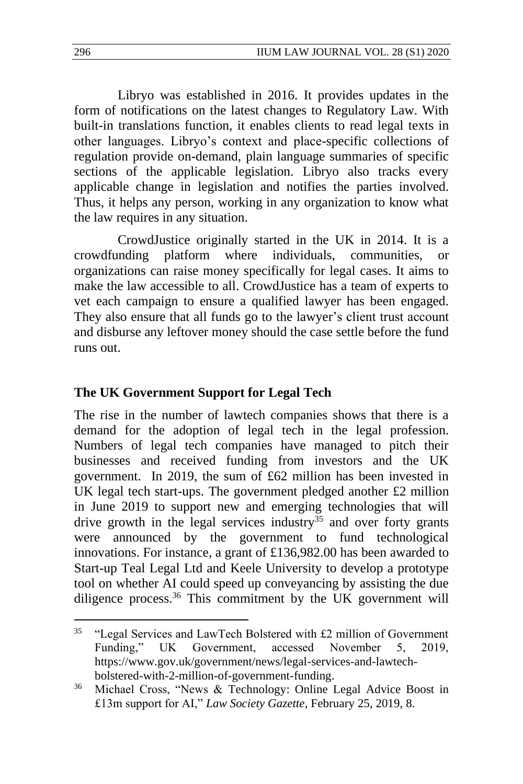Libryo was established in 2016. It provides updates in the form of notifications on the latest changes to Regulatory Law. With built-in translations function, it enables clients to read legal texts in other languages. Libryo's context and place-specific collections of regulation provide on-demand, plain language summaries of specific sections of the applicable legislation. Libryo also tracks every applicable change in legislation and notifies the parties involved. Thus, it helps any person, working in any organization to know what the law requires in any situation.

CrowdJustice originally started in the UK in 2014. It is a crowdfunding platform where individuals, communities, or organizations can raise money specifically for legal cases. It aims to make the law accessible to all. CrowdJustice has a team of experts to vet each campaign to ensure a qualified lawyer has been engaged. They also ensure that all funds go to the lawyer's client trust account and disburse any leftover money should the case settle before the fund runs out.

#### **The UK Government Support for Legal Tech**

The rise in the number of lawtech companies shows that there is a demand for the adoption of legal tech in the legal profession. Numbers of legal tech companies have managed to pitch their businesses and received funding from investors and the UK government. In 2019, the sum of £62 million has been invested in UK legal tech start-ups. The government pledged another £2 million in June 2019 to support new and emerging technologies that will drive growth in the legal services industry $35$  and over forty grants were announced by the government to fund technological innovations. For instance, a grant of £136,982.00 has been awarded to Start-up Teal Legal Ltd and Keele University to develop a prototype tool on whether AI could speed up conveyancing by assisting the due diligence process.<sup>36</sup> This commitment by the UK government will

<sup>&</sup>lt;sup>35</sup> "Legal Services and LawTech Bolstered with  $£2$  million of Government Funding," UK Government, accessed November 5, 2019, [https://www.gov.uk/government/news/legal-services-and-lawtech](https://www.gov.uk/government/news/legal-services-and-lawtech-bolstered-with-2-million-of-government-funding)[bolstered-with-2-million-of-government-funding.](https://www.gov.uk/government/news/legal-services-and-lawtech-bolstered-with-2-million-of-government-funding)

<sup>36</sup> Michael Cross, "News & Technology: Online Legal Advice Boost in £13m support for AI," *Law Society Gazette*, February 25, 2019, 8.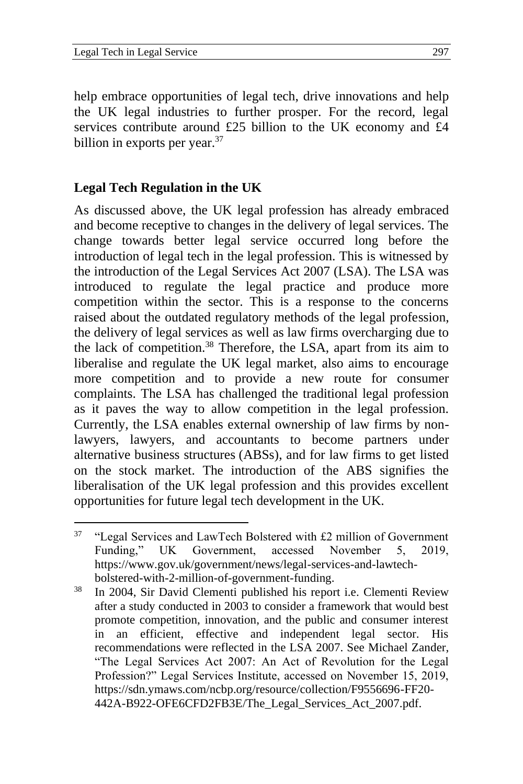help embrace opportunities of legal tech, drive innovations and help the UK legal industries to further prosper. For the record, legal services contribute around £25 billion to the UK economy and £4 billion in exports per year.<sup>37</sup>

### **Legal Tech Regulation in the UK**

As discussed above, the UK legal profession has already embraced and become receptive to changes in the delivery of legal services. The change towards better legal service occurred long before the introduction of legal tech in the legal profession. This is witnessed by the introduction of the Legal Services Act 2007 (LSA). The LSA was introduced to regulate the legal practice and produce more competition within the sector. This is a response to the concerns raised about the outdated regulatory methods of the legal profession, the delivery of legal services as well as law firms overcharging due to the lack of competition.<sup>38</sup> Therefore, the LSA, apart from its aim to liberalise and regulate the UK legal market, also aims to encourage more competition and to provide a new route for consumer complaints. The LSA has challenged the traditional legal profession as it paves the way to allow competition in the legal profession. Currently, the LSA enables external ownership of law firms by nonlawyers, lawyers, and accountants to become partners under alternative business structures (ABSs), and for law firms to get listed on the stock market. The introduction of the ABS signifies the liberalisation of the UK legal profession and this provides excellent opportunities for future legal tech development in the UK.

 $37$  "Legal Services and LawTech Bolstered with £2 million of Government Funding," UK Government, accessed November 5, 2019, [https://www.gov.uk/government/news/legal-services-and-lawtech](https://www.gov.uk/government/news/legal-services-and-lawtech-bolstered-with-2-million-of-government-funding)[bolstered-with-2-million-of-government-funding.](https://www.gov.uk/government/news/legal-services-and-lawtech-bolstered-with-2-million-of-government-funding)

<sup>38</sup> In 2004, Sir David Clementi published his report i.e. Clementi Review after a study conducted in 2003 to consider a framework that would best promote competition, innovation, and the public and consumer interest in an efficient, effective and independent legal sector. His recommendations were reflected in the LSA 2007. See Michael Zander, "The Legal Services Act 2007: An Act of Revolution for the Legal Profession?" Legal Services Institute, accessed on November 15, 2019, https://sdn.ymaws.com/ncbp.org/resource/collection/F9556696-FF20- 442A-B922-OFE6CFD2FB3E/The\_Legal\_Services\_Act\_2007.pdf.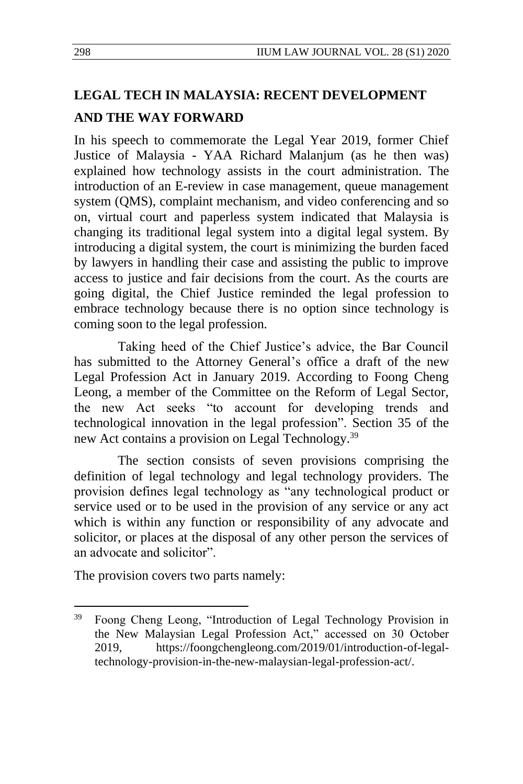# **LEGAL TECH IN MALAYSIA: RECENT DEVELOPMENT AND THE WAY FORWARD**

In his speech to commemorate the Legal Year 2019, former Chief Justice of Malaysia - YAA Richard Malanjum (as he then was) explained how technology assists in the court administration. The introduction of an E-review in case management, queue management system (QMS), complaint mechanism, and video conferencing and so on, virtual court and paperless system indicated that Malaysia is changing its traditional legal system into a digital legal system. By introducing a digital system, the court is minimizing the burden faced by lawyers in handling their case and assisting the public to improve access to justice and fair decisions from the court. As the courts are going digital, the Chief Justice reminded the legal profession to embrace technology because there is no option since technology is coming soon to the legal profession.

Taking heed of the Chief Justice's advice, the Bar Council has submitted to the Attorney General's office a draft of the new Legal Profession Act in January 2019. According to Foong Cheng Leong, a member of the Committee on the Reform of Legal Sector, the new Act seeks "to account for developing trends and technological innovation in the legal profession". Section 35 of the new Act contains a provision on Legal Technology.<sup>39</sup>

The section consists of seven provisions comprising the definition of legal technology and legal technology providers. The provision defines legal technology as "any technological product or service used or to be used in the provision of any service or any act which is within any function or responsibility of any advocate and solicitor, or places at the disposal of any other person the services of an advocate and solicitor".

The provision covers two parts namely:

<sup>39</sup> Foong Cheng Leong, ["Introduction of Legal Technology Provision in](http://foongchengleong.com/2019/01/introduction-of-legal-technology-provision-in-the-new-malaysian-legal-profession-act/)  [the New Malaysian Legal Profession Act,](http://foongchengleong.com/2019/01/introduction-of-legal-technology-provision-in-the-new-malaysian-legal-profession-act/)" accessed on 30 October 2019, [https://foongchengleong.com/2019/01/introduction-of-legal](https://foongchengleong.com/2019/01/introduction-of-legal-technology-provision-in-the-new-malaysian-legal-profession-act/)[technology-provision-in-the-new-malaysian-legal-profession-act/.](https://foongchengleong.com/2019/01/introduction-of-legal-technology-provision-in-the-new-malaysian-legal-profession-act/)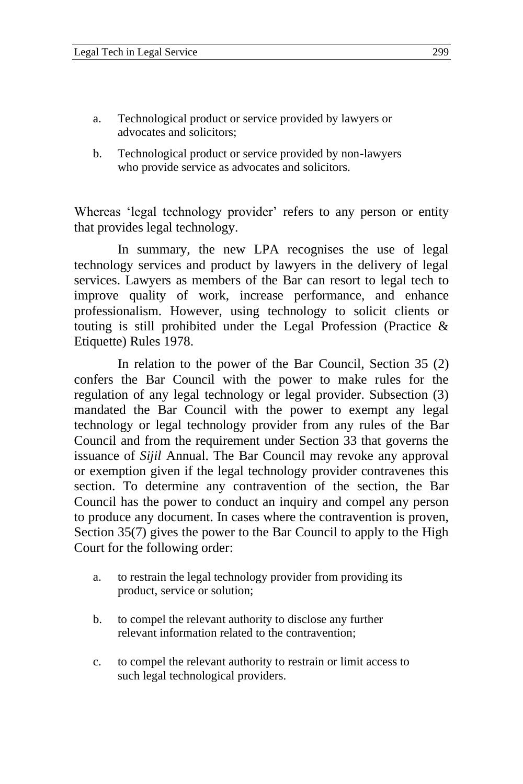- a. Technological product or service provided by lawyers or advocates and solicitors;
- b. Technological product or service provided by non-lawyers who provide service as advocates and solicitors.

Whereas 'legal technology provider' refers to any person or entity that provides legal technology.

In summary, the new LPA recognises the use of legal technology services and product by lawyers in the delivery of legal services. Lawyers as members of the Bar can resort to legal tech to improve quality of work, increase performance, and enhance professionalism. However, using technology to solicit clients or touting is still prohibited under the Legal Profession (Practice & Etiquette) Rules 1978.

In relation to the power of the Bar Council, Section 35 (2) confers the Bar Council with the power to make rules for the regulation of any legal technology or legal provider. Subsection (3) mandated the Bar Council with the power to exempt any legal technology or legal technology provider from any rules of the Bar Council and from the requirement under Section 33 that governs the issuance of *Sijil* Annual. The Bar Council may revoke any approval or exemption given if the legal technology provider contravenes this section. To determine any contravention of the section, the Bar Council has the power to conduct an inquiry and compel any person to produce any document. In cases where the contravention is proven, Section 35(7) gives the power to the Bar Council to apply to the High Court for the following order:

- a. to restrain the legal technology provider from providing its product, service or solution;
- b. to compel the relevant authority to disclose any further relevant information related to the contravention;
- c. to compel the relevant authority to restrain or limit access to such legal technological providers.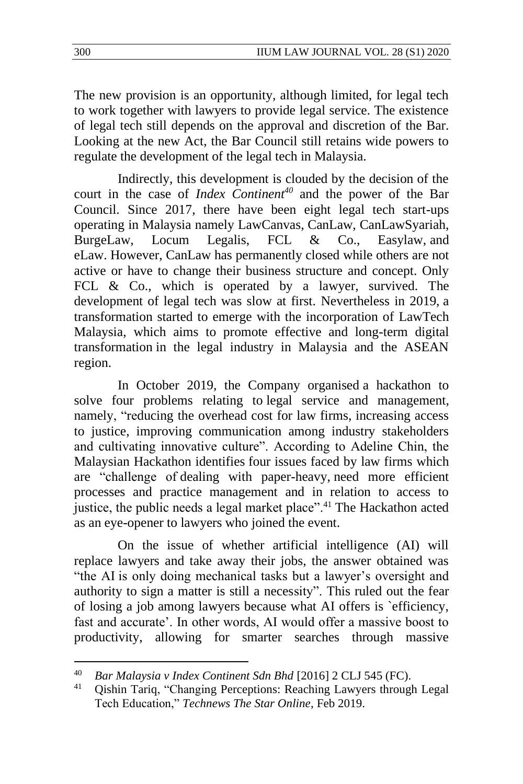The new provision is an opportunity, although limited, for legal tech to work together with lawyers to provide legal service. The existence of legal tech still depends on the approval and discretion of the Bar. Looking at the new Act, the Bar Council still retains wide powers to regulate the development of the legal tech in Malaysia.

Indirectly, this development is clouded by the decision of the court in the case of *Index Continent<sup>40</sup>* and the power of the Bar Council. Since 2017, there have been eight legal tech start-ups operating in Malaysia namely LawCanvas, CanLaw, CanLawSyariah, BurgeLaw, Locum Legalis, FCL & Co., Easylaw, and eLaw. However, CanLaw has permanently closed while others are not active or have to change their business structure and concept. Only FCL & Co., which is operated by a lawyer, survived. The development of legal tech was slow at first. Nevertheless in 2019, a transformation started to emerge with the incorporation of LawTech Malaysia, which aims to promote effective and long-term digital transformation in the legal industry in Malaysia and the ASEAN region.

In October 2019, the Company organised a hackathon to solve four problems relating to legal service and management, namely, "reducing the overhead cost for law firms, increasing access to justice, improving communication among industry stakeholders and cultivating innovative culture". According to Adeline Chin, the Malaysian Hackathon identifies four issues faced by law firms which are "challenge of dealing with paper-heavy, need more efficient processes and practice management and in relation to access to justice, the public needs a legal market place".<sup>41</sup> The Hackathon acted as an eye-opener to lawyers who joined the event.

On the issue of whether artificial intelligence (AI) will replace lawyers and take away their jobs, the answer obtained was "the AI is only doing mechanical tasks but a lawyer's oversight and authority to sign a matter is still a necessity". This ruled out the fear of losing a job among lawyers because what AI offers is `efficiency, fast and accurate'. In other words, AI would offer a massive boost to productivity, allowing for smarter searches through massive

<sup>40</sup> *Bar Malaysia v Index Continent Sdn Bhd* [2016] 2 CLJ 545 (FC).

<sup>41</sup> Qishin Tariq, "Changing Perceptions: Reaching Lawyers through Legal Tech Education," *Technews The Star Online*, Feb 2019.